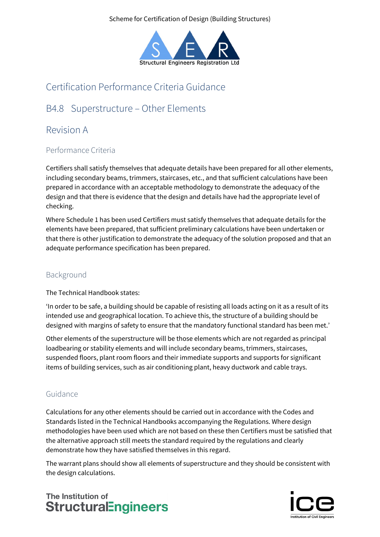Scheme for Certification of Design (Building Structures)



# Certification Performance Criteria Guidance

## B4.8 Superstructure – Other Elements

### Revision A

### Performance Criteria

Certifiers shall satisfy themselves that adequate details have been prepared for all other elements, including secondary beams, trimmers, staircases, etc., and that sufficient calculations have been prepared in accordance with an acceptable methodology to demonstrate the adequacy of the design and that there is evidence that the design and details have had the appropriate level of checking.

Where Schedule 1 has been used Certifiers must satisfy themselves that adequate details for the elements have been prepared, that sufficient preliminary calculations have been undertaken or that there is other justification to demonstrate the adequacy of the solution proposed and that an adequate performance specification has been prepared.

### Background

The Technical Handbook states:

'In order to be safe, a building should be capable of resisting all loads acting on it as a result of its intended use and geographical location. To achieve this, the structure of a building should be designed with margins of safety to ensure that the mandatory functional standard has been met.'

Other elements of the superstructure will be those elements which are not regarded as principal loadbearing or stability elements and will include secondary beams, trimmers, staircases, suspended floors, plant room floors and their immediate supports and supports for significant items of building services, such as air conditioning plant, heavy ductwork and cable trays.

### Guidance

Calculations for any other elements should be carried out in accordance with the Codes and Standards listed in the Technical Handbooks accompanying the Regulations. Where design methodologies have been used which are not based on these then Certifiers must be satisfied that the alternative approach still meets the standard required by the regulations and clearly demonstrate how they have satisfied themselves in this regard.

The warrant plans should show all elements of superstructure and they should be consistent with the design calculations.

## The Institution of **StructuralEngineers**

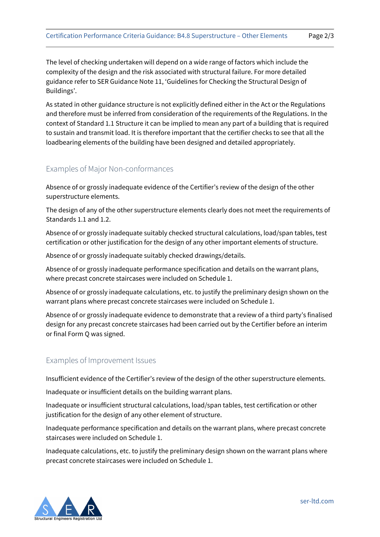The level of checking undertaken will depend on a wide range of factors which include the complexity of the design and the risk associated with structural failure. For more detailed guidance refer to SER Guidance Note 11, 'Guidelines for Checking the Structural Design of Buildings'.

As stated in other guidance structure is not explicitly defined either in the Act or the Regulations and therefore must be inferred from consideration of the requirements of the Regulations. In the context of Standard 1.1 Structure it can be implied to mean any part of a building that is required to sustain and transmit load. It is therefore important that the certifier checks to see that all the loadbearing elements of the building have been designed and detailed appropriately.

#### Examples of Major Non-conformances

Absence of or grossly inadequate evidence of the Certifier's review of the design of the other superstructure elements.

The design of any of the other superstructure elements clearly does not meet the requirements of Standards 1.1 and 1.2.

Absence of or grossly inadequate suitably checked structural calculations, load/span tables, test certification or other justification for the design of any other important elements of structure.

Absence of or grossly inadequate suitably checked drawings/details.

Absence of or grossly inadequate performance specification and details on the warrant plans, where precast concrete staircases were included on Schedule 1.

Absence of or grossly inadequate calculations, etc. to justify the preliminary design shown on the warrant plans where precast concrete staircases were included on Schedule 1.

Absence of or grossly inadequate evidence to demonstrate that a review of a third party's finalised design for any precast concrete staircases had been carried out by the Certifier before an interim or final Form Q was signed.

#### Examples of Improvement Issues

Insufficient evidence of the Certifier's review of the design of the other superstructure elements.

Inadequate or insufficient details on the building warrant plans.

Inadequate or insufficient structural calculations, load/span tables, test certification or other justification for the design of any other element of structure.

Inadequate performance specification and details on the warrant plans, where precast concrete staircases were included on Schedule 1.

Inadequate calculations, etc. to justify the preliminary design shown on the warrant plans where precast concrete staircases were included on Schedule 1.